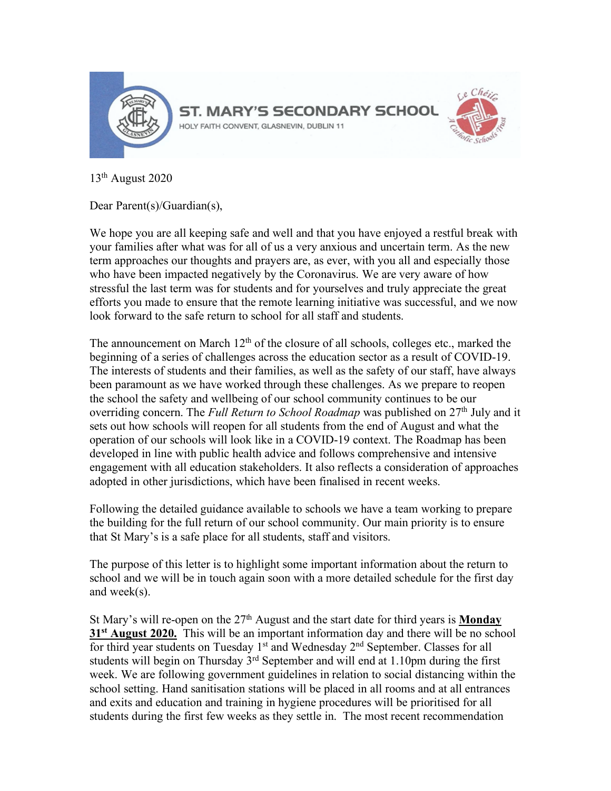

13th August 2020

Dear Parent(s)/Guardian(s),

We hope you are all keeping safe and well and that you have enjoyed a restful break with your families after what was for all of us a very anxious and uncertain term. As the new term approaches our thoughts and prayers are, as ever, with you all and especially those who have been impacted negatively by the Coronavirus. We are very aware of how stressful the last term was for students and for yourselves and truly appreciate the great efforts you made to ensure that the remote learning initiative was successful, and we now look forward to the safe return to school for all staff and students.

The announcement on March  $12<sup>th</sup>$  of the closure of all schools, colleges etc., marked the beginning of a series of challenges across the education sector as a result of COVID-19. The interests of students and their families, as well as the safety of our staff, have always been paramount as we have worked through these challenges. As we prepare to reopen the school the safety and wellbeing of our school community continues to be our overriding concern. The *Full Return to School Roadmap* was published on 27<sup>th</sup> July and it sets out how schools will reopen for all students from the end of August and what the operation of our schools will look like in a COVID-19 context. The Roadmap has been developed in line with public health advice and follows comprehensive and intensive engagement with all education stakeholders. It also reflects a consideration of approaches adopted in other jurisdictions, which have been finalised in recent weeks.

Following the detailed guidance available to schools we have a team working to prepare the building for the full return of our school community. Our main priority is to ensure that St Mary's is a safe place for all students, staff and visitors.

The purpose of this letter is to highlight some important information about the return to school and we will be in touch again soon with a more detailed schedule for the first day and week(s).

St Mary's will re-open on the 27<sup>th</sup> August and the start date for third years is **Monday 31st August 2020.** This will be an important information day and there will be no school for third year students on Tuesday 1<sup>st</sup> and Wednesday 2<sup>nd</sup> September. Classes for all students will begin on Thursday  $3<sup>rd</sup>$  September and will end at 1.10pm during the first week. We are following government guidelines in relation to social distancing within the school setting. Hand sanitisation stations will be placed in all rooms and at all entrances and exits and education and training in hygiene procedures will be prioritised for all students during the first few weeks as they settle in. The most recent recommendation